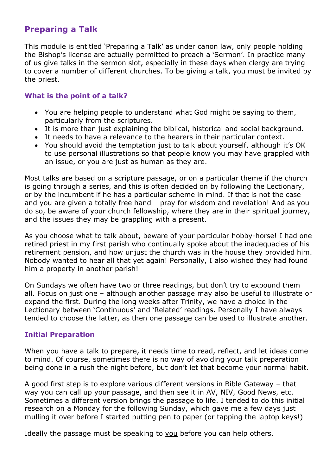# **Preparing a Talk**

This module is entitled 'Preparing a Talk' as under canon law, only people holding the Bishop's license are actually permitted to preach a 'Sermon'. In practice many of us give talks in the sermon slot, especially in these days when clergy are trying to cover a number of different churches. To be giving a talk, you must be invited by the priest.

#### **What is the point of a talk?**

- You are helping people to understand what God might be saying to them, particularly from the scriptures.
- It is more than just explaining the biblical, historical and social background.
- It needs to have a relevance to the hearers in their particular context.
- You should avoid the temptation just to talk about yourself, although it's OK to use personal illustrations so that people know you may have grappled with an issue, or you are just as human as they are.

Most talks are based on a scripture passage, or on a particular theme if the church is going through a series, and this is often decided on by following the Lectionary, or by the incumbent if he has a particular scheme in mind. If that is not the case and you are given a totally free hand – pray for wisdom and revelation! And as you do so, be aware of your church fellowship, where they are in their spiritual journey, and the issues they may be grappling with a present.

As you choose what to talk about, beware of your particular hobby-horse! I had one retired priest in my first parish who continually spoke about the inadequacies of his retirement pension, and how unjust the church was in the house they provided him. Nobody wanted to hear all that yet again! Personally, I also wished they had found him a property in another parish!

On Sundays we often have two or three readings, but don't try to expound them all. Focus on just one – although another passage may also be useful to illustrate or expand the first. During the long weeks after Trinity, we have a choice in the Lectionary between 'Continuous' and 'Related' readings. Personally I have always tended to choose the latter, as then one passage can be used to illustrate another.

#### **Initial Preparation**

When you have a talk to prepare, it needs time to read, reflect, and let ideas come to mind. Of course, sometimes there is no way of avoiding your talk preparation being done in a rush the night before, but don't let that become your normal habit.

A good first step is to explore various different versions in Bible Gateway – that way you can call up your passage, and then see it in AV, NIV, Good News, etc. Sometimes a different version brings the passage to life. I tended to do this initial research on a Monday for the following Sunday, which gave me a few days just mulling it over before I started putting pen to paper (or tapping the laptop keys!)

Ideally the passage must be speaking to you before you can help others.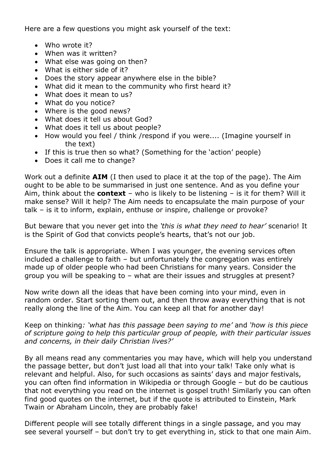Here are a few questions you might ask yourself of the text:

- Who wrote it?
- When was it written?
- What else was going on then?
- What is either side of it?
- Does the story appear anywhere else in the bible?
- What did it mean to the community who first heard it?
- What does it mean to us?
- What do you notice?
- Where is the good news?
- What does it tell us about God?
- What does it tell us about people?
- How would you feel / think /respond if you were.... (Imagine yourself in the text)
- If this is true then so what? (Something for the 'action' people)
- Does it call me to change?

Work out a definite **AIM** (I then used to place it at the top of the page). The Aim ought to be able to be summarised in just one sentence. And as you define your Aim, think about the **context** – who is likely to be listening – is it for them? Will it make sense? Will it help? The Aim needs to encapsulate the main purpose of your talk – is it to inform, explain, enthuse or inspire, challenge or provoke?

But beware that you never get into the *'this is what they need to hear'* scenario! It is the Spirit of God that convicts people's hearts, that's not our job.

Ensure the talk is appropriate. When I was younger, the evening services often included a challenge to faith – but unfortunately the congregation was entirely made up of older people who had been Christians for many years. Consider the group you will be speaking to – what are their issues and struggles at present?

Now write down all the ideas that have been coming into your mind, even in random order. Start sorting them out, and then throw away everything that is not really along the line of the Aim. You can keep all that for another day!

Keep on thinking*: 'what has this passage been saying to me'* and *'how is this piece of scripture going to help this particular group of people, with their particular issues and concerns, in their daily Christian lives?'*

By all means read any commentaries you may have, which will help you understand the passage better, but don't just load all that into your talk! Take only what is relevant and helpful. Also, for such occasions as saints' days and major festivals, you can often find information in Wikipedia or through Google – but do be cautious that not everything you read on the internet is gospel truth! Similarly you can often find good quotes on the internet, but if the quote is attributed to Einstein, Mark Twain or Abraham Lincoln, they are probably fake!

Different people will see totally different things in a single passage, and you may see several yourself – but don't try to get everything in, stick to that one main Aim.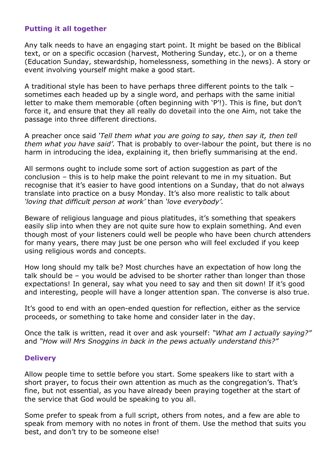### **Putting it all together**

Any talk needs to have an engaging start point. It might be based on the Biblical text, or on a specific occasion (harvest, Mothering Sunday, etc.), or on a theme (Education Sunday, stewardship, homelessness, something in the news). A story or event involving yourself might make a good start.

A traditional style has been to have perhaps three different points to the talk – sometimes each headed up by a single word, and perhaps with the same initial letter to make them memorable (often beginning with 'P'!). This is fine, but don't force it, and ensure that they all really do dovetail into the one Aim, not take the passage into three different directions.

A preacher once said *'Tell them what you are going to say, then say it, then tell them what you have said'.* That is probably to over-labour the point, but there is no harm in introducing the idea, explaining it, then briefly summarising at the end.

All sermons ought to include some sort of action suggestion as part of the conclusion – this is to help make the point relevant to me in my situation. But recognise that it's easier to have good intentions on a Sunday, that do not always translate into practice on a busy Monday. It's also more realistic to talk about *'loving that difficult person at work'* than *'love everybody'.*

Beware of religious language and pious platitudes, it's something that speakers easily slip into when they are not quite sure how to explain something. And even though most of your listeners could well be people who have been church attenders for many years, there may just be one person who will feel excluded if you keep using religious words and concepts.

How long should my talk be? Most churches have an expectation of how long the talk should be – you would be advised to be shorter rather than longer than those expectations! In general, say what you need to say and then sit down! If it's good and interesting, people will have a longer attention span. The converse is also true.

It's good to end with an open-ended question for reflection, either as the service proceeds, or something to take home and consider later in the day.

Once the talk is written, read it over and ask yourself: *"What am I actually saying?"*  and *"How will Mrs Snoggins in back in the pews actually understand this?"*

#### **Delivery**

Allow people time to settle before you start. Some speakers like to start with a short prayer, to focus their own attention as much as the congregation's. That's fine, but not essential, as you have already been praying together at the start of the service that God would be speaking to you all.

Some prefer to speak from a full script, others from notes, and a few are able to speak from memory with no notes in front of them. Use the method that suits you best, and don't try to be someone else!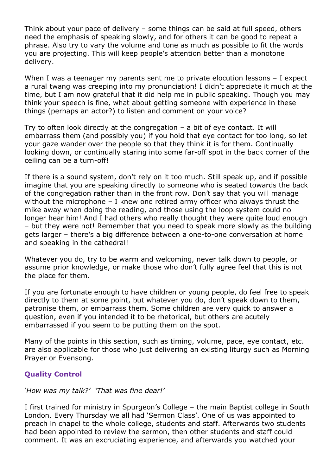Think about your pace of delivery – some things can be said at full speed, others need the emphasis of speaking slowly, and for others it can be good to repeat a phrase. Also try to vary the volume and tone as much as possible to fit the words you are projecting. This will keep people's attention better than a monotone delivery.

When I was a teenager my parents sent me to private elocution lessons - I expect a rural twang was creeping into my pronunciation! I didn't appreciate it much at the time, but I am now grateful that it did help me in public speaking. Though you may think your speech is fine, what about getting someone with experience in these things (perhaps an actor?) to listen and comment on your voice?

Try to often look directly at the congregation – a bit of eye contact. It will embarrass them (and possibly you) if you hold that eye contact for too long, so let your gaze wander over the people so that they think it is for them. Continually looking down, or continually staring into some far-off spot in the back corner of the ceiling can be a turn-off!

If there is a sound system, don't rely on it too much. Still speak up, and if possible imagine that you are speaking directly to someone who is seated towards the back of the congregation rather than in the front row. Don't say that you will manage without the microphone – I knew one retired army officer who always thrust the mike away when doing the reading, and those using the loop system could no longer hear him! And I had others who really thought they were quite loud enough – but they were not! Remember that you need to speak more slowly as the building gets larger – there's a big difference between a one-to-one conversation at home and speaking in the cathedral!

Whatever you do, try to be warm and welcoming, never talk down to people, or assume prior knowledge, or make those who don't fully agree feel that this is not the place for them.

If you are fortunate enough to have children or young people, do feel free to speak directly to them at some point, but whatever you do, don't speak down to them, patronise them, or embarrass them. Some children are very quick to answer a question, even if you intended it to be rhetorical, but others are acutely embarrassed if you seem to be putting them on the spot.

Many of the points in this section, such as timing, volume, pace, eye contact, etc. are also applicable for those who just delivering an existing liturgy such as Morning Prayer or Evensong.

## **Quality Control**

*'How was my talk?' 'That was fine dear!'*

I first trained for ministry in Spurgeon's College – the main Baptist college in South London. Every Thursday we all had 'Sermon Class'. One of us was appointed to preach in chapel to the whole college, students and staff. Afterwards two students had been appointed to review the sermon, then other students and staff could comment. It was an excruciating experience, and afterwards you watched your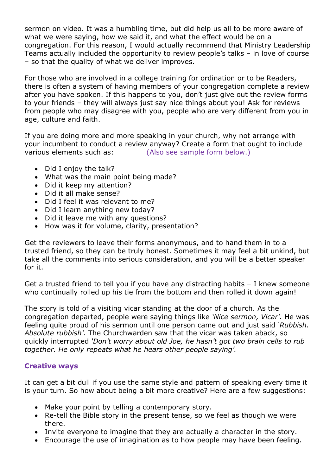sermon on video. It was a humbling time, but did help us all to be more aware of what we were saying, how we said it, and what the effect would be on a congregation. For this reason, I would actually recommend that Ministry Leadership Teams actually included the opportunity to review people's talks – in love of course – so that the quality of what we deliver improves.

For those who are involved in a college training for ordination or to be Readers, there is often a system of having members of your congregation complete a review after you have spoken. If this happens to you, don't just give out the review forms to your friends – they will always just say nice things about you! Ask for reviews from people who may disagree with you, people who are very different from you in age, culture and faith.

If you are doing more and more speaking in your church, why not arrange with your incumbent to conduct a review anyway? Create a form that ought to include various elements such as: (Also see sample form below.)

- Did I enjoy the talk?
- What was the main point being made?
- Did it keep my attention?
- Did it all make sense?
- Did I feel it was relevant to me?
- Did I learn anything new today?
- Did it leave me with any questions?
- How was it for volume, clarity, presentation?

Get the reviewers to leave their forms anonymous, and to hand them in to a trusted friend, so they can be truly honest. Sometimes it may feel a bit unkind, but take all the comments into serious consideration, and you will be a better speaker for it.

Get a trusted friend to tell you if you have any distracting habits – I knew someone who continually rolled up his tie from the bottom and then rolled it down again!

The story is told of a visiting vicar standing at the door of a church. As the congregation departed, people were saying things like *'Nice sermon, Vicar'.* He was feeling quite proud of his sermon until one person came out and just said *'Rubbish. Absolute rubbish'.* The Churchwarden saw that the vicar was taken aback, so quickly interrupted *'Don't worry about old Joe, he hasn't got two brain cells to rub together. He only repeats what he hears other people saying'.*

#### **Creative ways**

It can get a bit dull if you use the same style and pattern of speaking every time it is your turn. So how about being a bit more creative? Here are a few suggestions:

- Make your point by telling a contemporary story.
- Re-tell the Bible story in the present tense, so we feel as though we were there.
- Invite everyone to imagine that they are actually a character in the story.
- Encourage the use of imagination as to how people may have been feeling.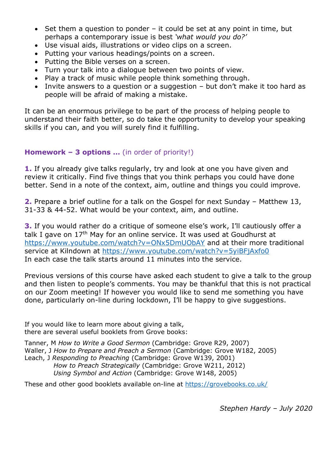- Set them a question to ponder it could be set at any point in time, but perhaps a contemporary issue is best *'what would you do?'*
- Use visual aids, illustrations or video clips on a screen.
- Putting your various headings/points on a screen.
- Putting the Bible verses on a screen.
- Turn your talk into a dialogue between two points of view.
- Play a track of music while people think something through.
- Invite answers to a question or a suggestion but don't make it too hard as people will be afraid of making a mistake.

It can be an enormous privilege to be part of the process of helping people to understand their faith better, so do take the opportunity to develop your speaking skills if you can, and you will surely find it fulfilling.

### **Homework – 3 options …** (in order of priority!)

**1.** If you already give talks regularly, try and look at one you have given and review it critically. Find five things that you think perhaps you could have done better. Send in a note of the context, aim, outline and things you could improve.

**2.** Prepare a brief outline for a talk on the Gospel for next Sunday – Matthew 13, 31-33 & 44-52. What would be your context, aim, and outline.

**3.** If you would rather do a critique of someone else's work, I'll cautiously offer a talk I gave on 17<sup>th</sup> May for an online service. It was used at Goudhurst at https://www.youtube.com/watch?v=ONx5DmUObAY and at their more traditional service at Kilndown at https://www.youtube.com/watch?v=5yiBFjAxfo0 In each case the talk starts around 11 minutes into the service.

Previous versions of this course have asked each student to give a talk to the group and then listen to people's comments. You may be thankful that this is not practical on our Zoom meeting! If however you would like to send me something you have done, particularly on-line during lockdown, I'll be happy to give suggestions.

If you would like to learn more about giving a talk, there are several useful booklets from Grove books:

Tanner, M *How to Write a Good Sermon* (Cambridge: Grove R29, 2007) Waller, J *How to Prepare and Preach a Sermon* (Cambridge: Grove W182, 2005) Leach, J *Responding to Preaching* (Cambridge: Grove W139, 2001) *How to Preach Strategically* (Cambridge: Grove W211, 2012) *Using Symbol and Action* (Cambridge: Grove W148, 2005)

These and other good booklets available on-line at https://grovebooks.co.uk/

*Stephen Hardy – July 2020*